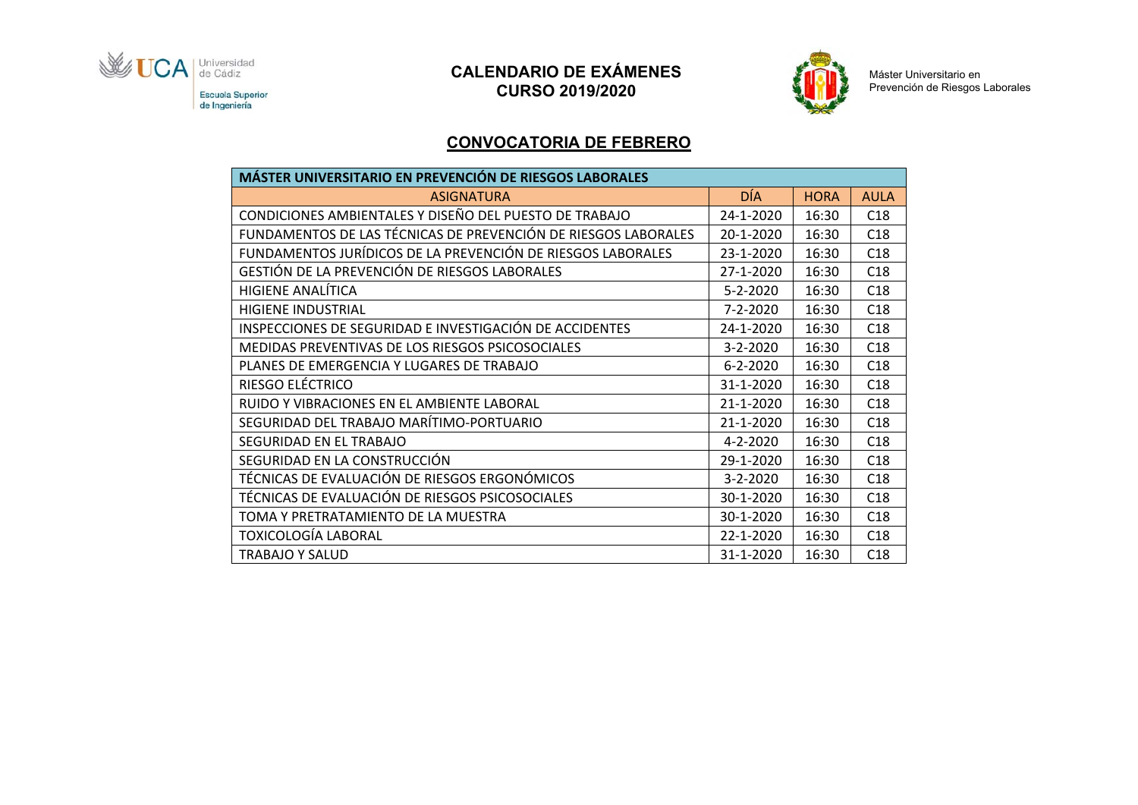

# **CALENDARIO DE EXÁMENES CURSO 2019/2020**



Máster Universitario en Prevención de Riesgos Laborales

#### **CONVOCATORIA DE FEBRERO**

| <b>MÁSTER UNIVERSITARIO EN PREVENCIÓN DE RIESGOS LABORALES</b> |                |             |             |  |  |
|----------------------------------------------------------------|----------------|-------------|-------------|--|--|
| <b>ASIGNATURA</b>                                              | DÍA            | <b>HORA</b> | <b>AULA</b> |  |  |
| CONDICIONES AMBIENTALES Y DISEÑO DEL PUESTO DE TRABAJO         | 24-1-2020      | 16:30       | C18         |  |  |
| FUNDAMENTOS DE LAS TÉCNICAS DE PREVENCIÓN DE RIESGOS LABORALES | 20-1-2020      | 16:30       | C18         |  |  |
| FUNDAMENTOS JURÍDICOS DE LA PREVENCIÓN DE RIESGOS LABORALES    | 23-1-2020      | 16:30       | C18         |  |  |
| GESTIÓN DE LA PREVENCIÓN DE RIESGOS LABORALES                  | 27-1-2020      | 16:30       | C18         |  |  |
| <b>HIGIENE ANALÍTICA</b>                                       | $5 - 2 - 2020$ | 16:30       | C18         |  |  |
| <b>HIGIENE INDUSTRIAL</b>                                      | 7-2-2020       | 16:30       | C18         |  |  |
| INSPECCIONES DE SEGURIDAD E INVESTIGACIÓN DE ACCIDENTES        | 24-1-2020      | 16:30       | C18         |  |  |
| MEDIDAS PREVENTIVAS DE LOS RIESGOS PSICOSOCIALES               | 3-2-2020       | 16:30       | C18         |  |  |
| PLANES DE EMERGENCIA Y LUGARES DE TRABAJO                      | $6 - 2 - 2020$ | 16:30       | C18         |  |  |
| RIESGO ELÉCTRICO                                               | 31-1-2020      | 16:30       | C18         |  |  |
| RUIDO Y VIBRACIONES EN EL AMBIENTE LABORAL                     | 21-1-2020      | 16:30       | C18         |  |  |
| SEGURIDAD DEL TRABAJO MARÍTIMO-PORTUARIO                       | 21-1-2020      | 16:30       | C18         |  |  |
| SEGURIDAD EN EL TRABAJO                                        | 4-2-2020       | 16:30       | C18         |  |  |
| SEGURIDAD EN LA CONSTRUCCIÓN                                   | 29-1-2020      | 16:30       | C18         |  |  |
| TÉCNICAS DE EVALUACIÓN DE RIESGOS ERGONÓMICOS                  | $3 - 2 - 2020$ | 16:30       | C18         |  |  |
| TÉCNICAS DE EVALUACIÓN DE RIESGOS PSICOSOCIALES                | 30-1-2020      | 16:30       | C18         |  |  |
| TOMA Y PRETRATAMIENTO DE LA MUESTRA                            | 30-1-2020      | 16:30       | C18         |  |  |
| TOXICOLOGÍA LABORAL                                            | 22-1-2020      | 16:30       | C18         |  |  |
| TRABAJO Y SALUD                                                | 31-1-2020      | 16:30       | C18         |  |  |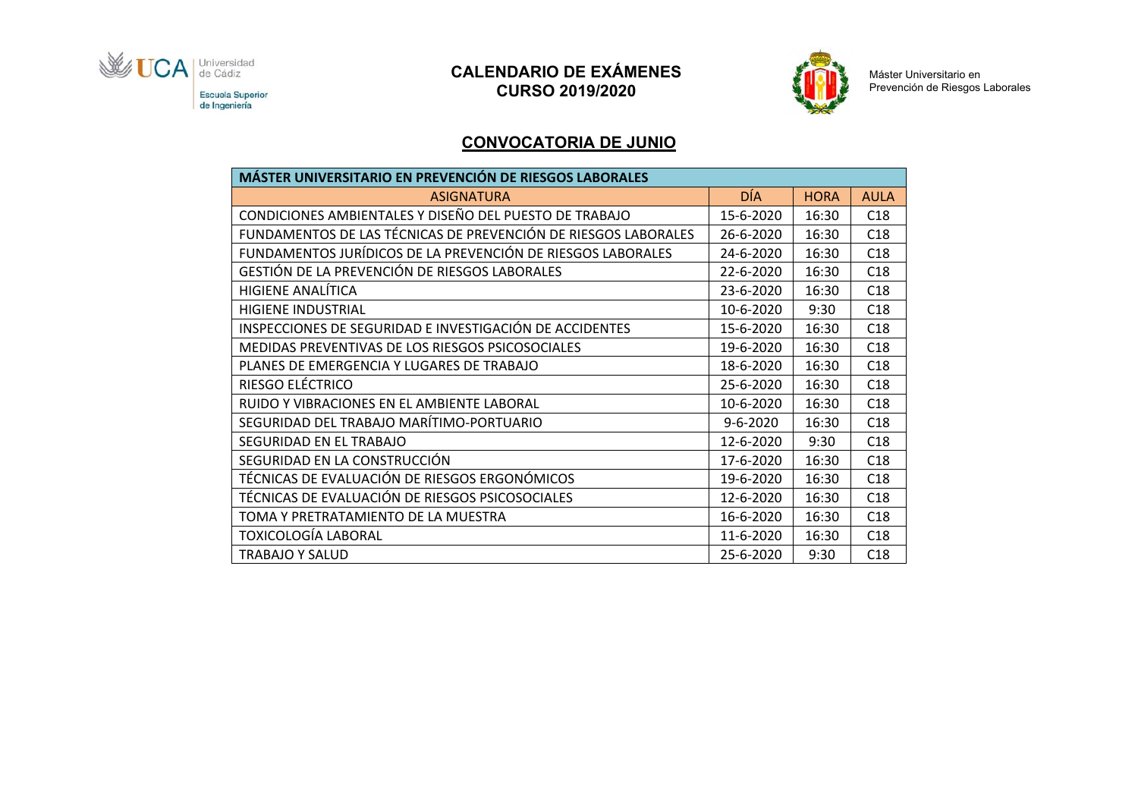

# **CALENDARIO DE EXÁMENES CURSO 2019/2020**



Máster Universitario en<br>Prevención de Riesgos Laborales

#### **CONVOCATORIA DE JUNIO**

| <b>MÁSTER UNIVERSITARIO EN PREVENCIÓN DE RIESGOS LABORALES</b> |                |             |             |  |  |
|----------------------------------------------------------------|----------------|-------------|-------------|--|--|
| <b>ASIGNATURA</b>                                              | DÍA            | <b>HORA</b> | <b>AULA</b> |  |  |
| CONDICIONES AMBIENTALES Y DISEÑO DEL PUESTO DE TRABAJO         | 15-6-2020      | 16:30       | C18         |  |  |
| FUNDAMENTOS DE LAS TÉCNICAS DE PREVENCIÓN DE RIESGOS LABORALES | 26-6-2020      | 16:30       | C18         |  |  |
| FUNDAMENTOS JURÍDICOS DE LA PREVENCIÓN DE RIESGOS LABORALES    | 24-6-2020      | 16:30       | C18         |  |  |
| GESTIÓN DE LA PREVENCIÓN DE RIESGOS LABORALES                  | 22-6-2020      | 16:30       | C18         |  |  |
| HIGIENE ANALÍTICA                                              | 23-6-2020      | 16:30       | C18         |  |  |
| <b>HIGIENE INDUSTRIAL</b>                                      | 10-6-2020      | 9:30        | C18         |  |  |
| INSPECCIONES DE SEGURIDAD E INVESTIGACIÓN DE ACCIDENTES        | 15-6-2020      | 16:30       | C18         |  |  |
| MEDIDAS PREVENTIVAS DE LOS RIESGOS PSICOSOCIALES               | 19-6-2020      | 16:30       | C18         |  |  |
| PLANES DE EMERGENCIA Y LUGARES DE TRABAJO                      | 18-6-2020      | 16:30       | C18         |  |  |
| RIESGO ELÉCTRICO                                               | 25-6-2020      | 16:30       | C18         |  |  |
| RUIDO Y VIBRACIONES EN EL AMBIENTE LABORAL                     | 10-6-2020      | 16:30       | C18         |  |  |
| SEGURIDAD DEL TRABAJO MARÍTIMO-PORTUARIO                       | $9 - 6 - 2020$ | 16:30       | C18         |  |  |
| SEGURIDAD EN EL TRABAJO                                        | 12-6-2020      | 9:30        | C18         |  |  |
| SEGURIDAD EN LA CONSTRUCCIÓN                                   | 17-6-2020      | 16:30       | C18         |  |  |
| TÉCNICAS DE EVALUACIÓN DE RIESGOS ERGONÓMICOS                  | 19-6-2020      | 16:30       | C18         |  |  |
| TÉCNICAS DE EVALUACIÓN DE RIESGOS PSICOSOCIALES                | 12-6-2020      | 16:30       | C18         |  |  |
| TOMA Y PRETRATAMIENTO DE LA MUESTRA                            | 16-6-2020      | 16:30       | C18         |  |  |
| TOXICOLOGÍA LABORAL                                            | 11-6-2020      | 16:30       | C18         |  |  |
| <b>TRABAJO Y SALUD</b>                                         | 25-6-2020      | 9:30        | C18         |  |  |